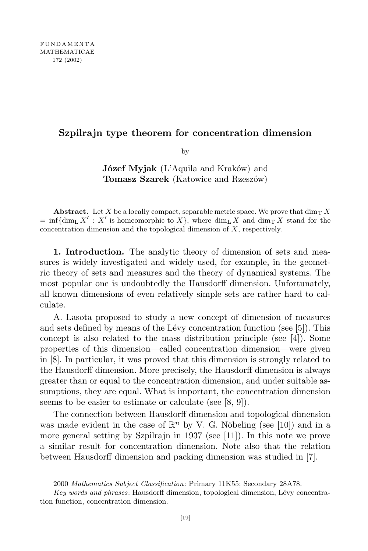## **Szpilrajn type theorem for concentration dimension**

by

**Józef Myjak** (L'Aquila and Kraków) and **Tomasz Szarek** (Katowice and Rzeszów)

**Abstract.** Let X be a locally compact, separable metric space. We prove that  $\dim_{\mathcal{T}} X$  $=$  inf{dim<sub>L</sub> X<sup>*i*</sup> : *X<sup><i>i*</sup> is homeomorphic to *X}*, where dim<sub>L</sub> X<sub>*i*</sub> and dim<sub>T</sub> X<sub>i</sub> stand for the concentration dimension and the topological dimension of *X*, respectively.

**1. Introduction.** The analytic theory of dimension of sets and measures is widely investigated and widely used, for example, in the geometric theory of sets and measures and the theory of dynamical systems. The most popular one is undoubtedly the Hausdorff dimension. Unfortunately, all known dimensions of even relatively simple sets are rather hard to calculate.

A. Lasota proposed to study a new concept of dimension of measures and sets defined by means of the Lévy concentration function (see  $[5]$ ). This concept is also related to the mass distribution principle (see  $[4]$ ). Some properties of this dimension—called concentration dimension—were given in [8]. In particular, it was proved that this dimension is strongly related to the Hausdorff dimension. More precisely, the Hausdorff dimension is always greater than or equal to the concentration dimension, and under suitable assumptions, they are equal. What is important, the concentration dimension seems to be easier to estimate or calculate (see [8, 9]).

The connection between Hausdorff dimension and topological dimension was made evident in the case of  $\mathbb{R}^n$  by V. G. Nöbeling (see [10]) and in a more general setting by Szpilrajn in 1937 (see [11]). In this note we prove a similar result for concentration dimension. Note also that the relation between Hausdorff dimension and packing dimension was studied in [7].

<sup>2000</sup> *Mathematics Subject Classification*: Primary 11K55; Secondary 28A78.

*Key words and phrases*: Hausdorff dimension, topological dimension, L´evy concentration function, concentration dimension.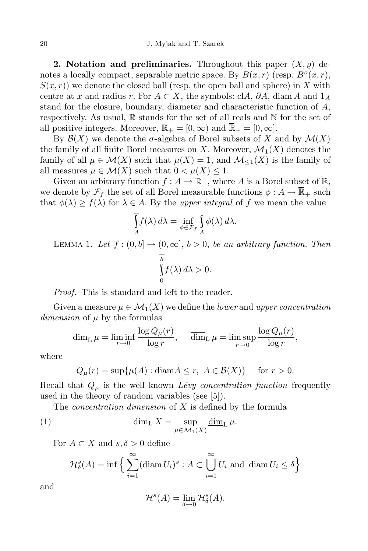**2. Notation** and **preliminaries.** Throughout this paper  $(X, \rho)$  denotes a locally compact, separable metric space. By  $B(x, r)$  (resp.  $B<sup>o</sup>(x, r)$ ,  $S(x,r)$  we denote the closed ball (resp. the open ball and sphere) in X with centre at *x* and radius *r*. For  $A \subset X$ , the symbols: cl $A$ ,  $\partial A$ , diam  $A$  and  $1_A$ stand for the closure, boundary, diameter and characteristic function of *A*, respectively. As usual,  $\mathbb R$  stands for the set of all reals and  $\mathbb N$  for the set of all positive integers. Moreover,  $\mathbb{R}_+ = [0, \infty)$  and  $\overline{\mathbb{R}}_+ = [0, \infty]$ .

By  $\mathcal{B}(X)$  we denote the  $\sigma$ -algebra of Borel subsets of X and by  $\mathcal{M}(X)$ the family of all finite Borel measures on *X*. Moreover,  $\mathcal{M}_1(X)$  denotes the family of all  $\mu \in \mathcal{M}(X)$  such that  $\mu(X) = 1$ , and  $\mathcal{M}_{\leq 1}(X)$  is the family of all measures  $\mu \in \mathcal{M}(X)$  such that  $0 < \mu(X) \leq 1$ .

Given an arbitrary function  $f : A \to \overline{\mathbb{R}}_+$ , where *A* is a Borel subset of  $\mathbb{R}$ , we denote by  $\mathcal{F}_f$  the set of all Borel measurable functions  $\phi: A \to \overline{\mathbb{R}}_+$  such that  $\phi(\lambda) \ge f(\lambda)$  for  $\lambda \in A$ . By the *upper integral* of *f* we mean the value

$$
\int_{A} f(\lambda) d\lambda = \inf_{\phi \in \mathcal{F}_f} \int_{A} \phi(\lambda) d\lambda.
$$

LEMMA 1. Let  $f : (0, b] \rightarrow (0, \infty], b > 0$ , *be an arbitrary function. Then b* 0  $f(\lambda) d\lambda > 0$ .

*Proof.* This is standard and left to the reader.

Given a measure  $\mu \in \mathcal{M}_1(X)$  we define the *lower* and *upper concentration dimension* of *µ* by the formulas

$$
\underline{\dim}_{\mathcal{L}} \,\mu = \liminf_{r \to 0} \frac{\log Q_{\mu}(r)}{\log r}, \quad \overline{\dim}_{\mathcal{L}} \,\mu = \limsup_{r \to 0} \frac{\log Q_{\mu}(r)}{\log r},
$$

where

$$
Q_{\mu}(r) = \sup \{ \mu(A) : \text{diam} A \le r, \ A \in \mathcal{B}(X) \} \quad \text{for } r > 0.
$$

Recall that  $Q_\mu$  is the well known *Lévy concentration function* frequently used in the theory of random variables (see [5]).

The *concentration dimension* of *X* is defined by the formula

(1) 
$$
\dim_{\mathrm{L}} X = \sup_{\mu \in \mathcal{M}_1(X)} \underline{\dim}_{\mathrm{L}} \mu.
$$

For  $A \subset X$  and  $s, \delta > 0$  define

$$
\mathcal{H}_{\delta}^{s}(A) = \inf \left\{ \sum_{i=1}^{\infty} (\text{diam } U_i)^s : A \subset \bigcup_{i=1}^{\infty} U_i \text{ and } \text{diam } U_i \le \delta \right\}
$$

and

$$
\mathcal{H}^s(A) = \lim_{\delta \to 0} \mathcal{H}^s_{\delta}(A).
$$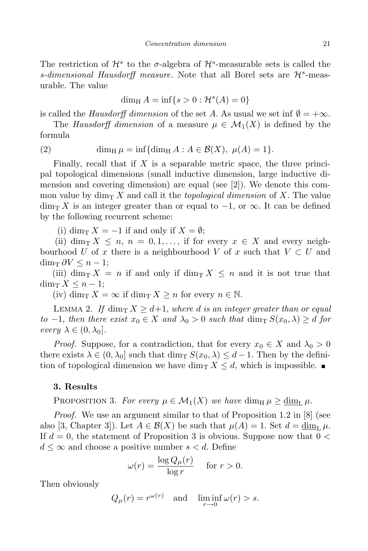The restriction of  $\mathcal{H}^s$  to the *σ*-algebra of  $\mathcal{H}^s$ -measurable sets is called the *s*-dimensional *Hausdorff* measure. Note that all Borel sets are  $\mathcal{H}^s$ -measurable. The value

$$
\dim_{\mathrm{H}} A = \inf\{s > 0 : \mathcal{H}^s(A) = 0\}
$$

is called the *Hausdorff* dimension of the set *A*. As usual we set inf  $\emptyset = +\infty$ .

The *Hausdorff* dimension of a measure  $\mu \in M_1(X)$  is defined by the formula

(2) 
$$
\dim_{\mathrm{H}} \mu = \inf \{ \dim_{\mathrm{H}} A : A \in \mathcal{B}(X), \ \mu(A) = 1 \}.
$$

Finally, recall that if *X* is a separable metric space, the three principal topological dimensions (small inductive dimension, large inductive dimension and covering dimension) are equal (see [2]). We denote this common value by  $\dim_{\mathbb{T}} X$  and call it the *topological dimension* of X. The value dim<sup>T</sup> *X* is an integer greater than or equal to *−*1, or *∞*. It can be defined by the following recurrent scheme:

(i) dim<sub>T</sub>  $X = -1$  if and only if  $X = \emptyset$ ;

(ii) dim<sub>T</sub>  $X \leq n, n = 0, 1, \ldots$ , if for every  $x \in X$  and every neighbourhood *U* of *x* there is a neighbourhood *V* of *x* such that  $V \subset U$  and  $\dim_{\mathrm{T}} \partial V$  ≤ *n* − 1;

(iii) dim<sub>T</sub>  $X = n$  if and only if dim<sub>T</sub>  $X \leq n$  and it is not true that dim<sub>T</sub>  $X \leq n-1$ ;

 $(iv)$  dim<sub>T</sub>  $X = \infty$  if dim<sub>T</sub>  $X \geq n$  for every  $n \in \mathbb{N}$ .

LEMMA 2. *If*  $\dim_{\mathbb{T}} X \geq d+1$ , *where d is* an *integer* greater *than* or equal  $to$  *−1, then there exist*  $x_0 \in X$  *and*  $\lambda_0 > 0$  *such that* dim<sub>T</sub>  $S(x_0, \lambda) \ge d$  *for*  $every \lambda \in (0, \lambda_0].$ 

*Proof.* Suppose, for a contradiction, that for every  $x_0 \in X$  and  $\lambda_0 > 0$ there exists  $\lambda \in (0, \lambda_0]$  such that  $\dim_\text{T} S(x_0, \lambda) \leq d-1$ . Then by the definition of topological dimension we have dim<sub>T</sub>  $X \leq d$ , which is impossible.

## **3. Results**

PROPOSITION 3. For every  $\mu \in \mathcal{M}_1(X)$  we have  $\dim_H \mu \geq \dim_L \mu$ .

*Proof.* We use an argument similar to that of Proposition 1.2 in [8] (see also [3, Chapter 3]). Let  $A \in \mathcal{B}(X)$  be such that  $\mu(A) = 1$ . Set  $d = \dim_L \mu$ . If *d* = 0, the statement of Proposition 3 is obvious. Suppose now that 0 *<*  $d \leq \infty$  and choose a positive number  $s < d$ . Define

$$
\omega(r) = \frac{\log Q_{\mu}(r)}{\log r} \quad \text{ for } r > 0.
$$

Then obviously

$$
Q_{\mu}(r) = r^{\omega(r)}
$$
 and  $\liminf_{r \to 0} \omega(r) > s$ .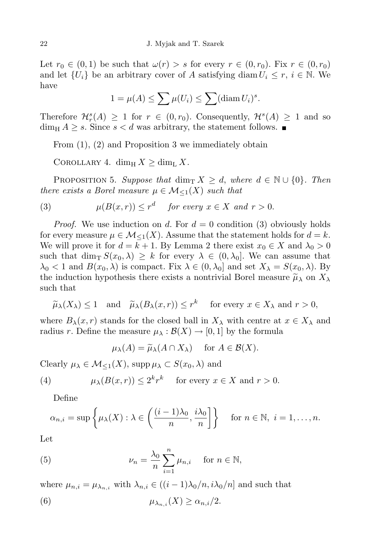Let  $r_0 \in (0,1)$  be such that  $\omega(r) > s$  for every  $r \in (0,r_0)$ . Fix  $r \in (0,r_0)$ and let  $\{U_i\}$  be an arbitrary cover of *A* satisfying diam  $U_i \leq r, i \in \mathbb{N}$ . We have

$$
1 = \mu(A) \le \sum \mu(U_i) \le \sum (\text{diam } U_i)^s.
$$

Therefore  $\mathcal{H}_r^s(A) \geq 1$  for  $r \in (0, r_0)$ . Consequently,  $\mathcal{H}^s(A) \geq 1$  and so  $\dim_{\text{H}} A \geq s$ . Since  $s < d$  was arbitrary, the statement follows.

From (1), (2) and Proposition 3 we immediately obtain

COROLLARY 4. dim<sub>H</sub>  $X >$  dim<sub>L</sub>  $X$ *.* 

**PROPOSITION 5.** Suppose that  $\dim_{\text{T}} X \geq d$ , where  $d \in \mathbb{N} \cup \{0\}$ . Then *there exists* a *Borel* measure  $\mu \in \mathcal{M}_{\leq 1}(X)$  *such that* 

(3) 
$$
\mu(B(x,r)) \le r^d
$$
 for every  $x \in X$  and  $r > 0$ .

*Proof.* We use induction on *d*. For  $d = 0$  condition (3) obviously holds for every measure  $\mu \in M_{\leq 1}(X)$ . Assume that the statement holds for  $d = k$ . We will prove it for  $d = k + 1$ . By Lemma 2 there exist  $x_0 \in X$  and  $\lambda_0 > 0$ such that  $\dim_{\mathbb{T}} S(x_0, \lambda) \geq k$  for every  $\lambda \in (0, \lambda_0]$ . We can assume that  $\lambda_0 < 1$  and  $B(x_0, \lambda)$  is compact. Fix  $\lambda \in (0, \lambda_0]$  and set  $X_\lambda = S(x_0, \lambda)$ . By the induction hypothesis there exists a nontrivial Borel measure  $\tilde{\mu}_{\lambda}$  on  $X_{\lambda}$ such that

$$
\widetilde{\mu}_{\lambda}(X_{\lambda}) \leq 1
$$
 and  $\widetilde{\mu}_{\lambda}(B_{\lambda}(x,r)) \leq r^k$  for every  $x \in X_{\lambda}$  and  $r > 0$ ,

where  $B_\lambda(x, r)$  stands for the closed ball in  $X_\lambda$  with centre at  $x \in X_\lambda$  and radius *r*. Define the measure  $\mu_{\lambda}: \mathcal{B}(X) \to [0,1]$  by the formula

$$
\mu_{\lambda}(A) = \widetilde{\mu}_{\lambda}(A \cap X_{\lambda}) \quad \text{ for } A \in \mathcal{B}(X).
$$

 $\text{Clearly } \mu_{\lambda} \in \mathcal{M}_{\leq 1}(X), \text{ supp } \mu_{\lambda} \subset S(x_0, \lambda) \text{ and }$ 

(4) 
$$
\mu_{\lambda}(B(x,r)) \leq 2^k r^k
$$
 for every  $x \in X$  and  $r > 0$ .

Define

$$
\alpha_{n,i} = \sup \left\{ \mu_{\lambda}(X) : \lambda \in \left( \frac{(i-1)\lambda_0}{n}, \frac{i\lambda_0}{n} \right] \right\} \quad \text{for } n \in \mathbb{N}, i = 1, \dots, n.
$$

Let

(5) 
$$
\nu_n = \frac{\lambda_0}{n} \sum_{i=1}^n \mu_{n,i} \quad \text{for } n \in \mathbb{N},
$$

where  $\mu_{n,i} = \mu_{\lambda_{n,i}}$  with  $\lambda_{n,i} \in ((i-1)\lambda_0/n, i\lambda_0/n]$  and such that

(6) 
$$
\mu_{\lambda_{n,i}}(X) \ge \alpha_{n,i}/2.
$$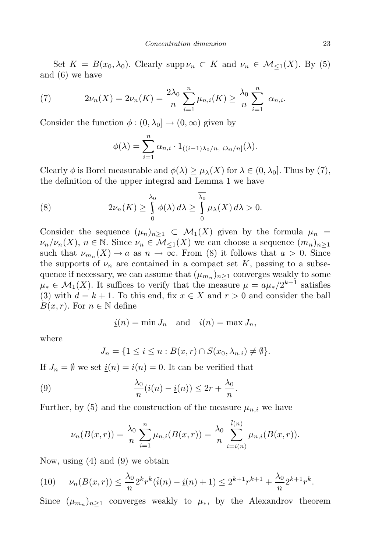Set  $K = B(x_0, \lambda_0)$ . Clearly supp  $\nu_n \subset K$  and  $\nu_n \in \mathcal{M}_{\leq 1}(X)$ . By (5) and (6) we have

(7) 
$$
2\nu_n(X) = 2\nu_n(K) = \frac{2\lambda_0}{n} \sum_{i=1}^n \mu_{n,i}(K) \ge \frac{\lambda_0}{n} \sum_{i=1}^n \alpha_{n,i}.
$$

Consider the function  $\phi$  :  $(0, \lambda_0] \rightarrow (0, \infty)$  given by

$$
\phi(\lambda) = \sum_{i=1}^n \alpha_{n,i} \cdot 1_{((i-1)\lambda_0/n, i\lambda_0/n]}(\lambda).
$$

Clearly  $\phi$  is Borel measurable and  $\phi(\lambda) \geq \mu_{\lambda}(X)$  for  $\lambda \in (0, \lambda_0]$ . Thus by (7), the definition of the upper integral and Lemma 1 we have

(8) 
$$
2\nu_n(K) \geq \int_{0}^{\lambda_0} \phi(\lambda) d\lambda \geq \int_{0}^{\lambda_0} \mu_{\lambda}(X) d\lambda > 0.
$$

Consider the sequence  $(\mu_n)_{n>1} \subset \mathcal{M}_1(X)$  given by the formula  $\mu_n =$  $\nu_n / \nu_n(X)$ ,  $n \in \mathbb{N}$ . Since  $\nu_n \in \mathcal{M}_{\leq 1}(X)$  we can choose a sequence  $(m_n)_{n \geq 1}$ such that  $\nu_{m_n}(X) \to a$  as  $n \to \infty$ . From (8) it follows that  $a > 0$ . Since the supports of  $\nu_n$  are contained in a compact set  $K$ , passing to a subsequence if necessary, we can assume that  $(\mu_{m_n})_{n\geq 1}$  converges weakly to some  $\mu_* \in \mathcal{M}_1(X)$ . It suffices to verify that the measure  $\mu = a\mu_*/2^{k+1}$  satisfies (3) with  $d = k + 1$ . To this end, fix  $x \in X$  and  $r > 0$  and consider the ball *B*(*x*, *r*). For  $n \in \mathbb{N}$  define

$$
\underline{i}(n) = \min J_n
$$
 and  $\overline{i}(n) = \max J_n$ ,

where

$$
J_n = \{1 \le i \le n : B(x,r) \cap S(x_0,\lambda_{n,i}) \neq \emptyset\}.
$$

If  $J_n = \emptyset$  we set  $\underline{i}(n) = \overline{i}(n) = 0$ . It can be verified that

(9) 
$$
\frac{\lambda_0}{n}(\overline{i}(n) - \underline{i}(n)) \leq 2r + \frac{\lambda_0}{n}.
$$

Further, by (5) and the construction of the measure  $\mu_{n,i}$  we have

$$
\nu_n(B(x,r)) = \frac{\lambda_0}{n} \sum_{i=1}^n \mu_{n,i}(B(x,r)) = \frac{\lambda_0}{n} \sum_{i=\underline{i}(n)}^{\overline{i}(n)} \mu_{n,i}(B(x,r)).
$$

Now, using (4) and (9) we obtain

$$
(10) \qquad \nu_n(B(x,r)) \le \frac{\lambda_0}{n} 2^k r^k (\overline{i}(n) - \underline{i}(n) + 1) \le 2^{k+1} r^{k+1} + \frac{\lambda_0}{n} 2^{k+1} r^k.
$$

Since  $(\mu_{m_n})_{n\geq 1}$  converges weakly to  $\mu_*$ , by the Alexandrov theorem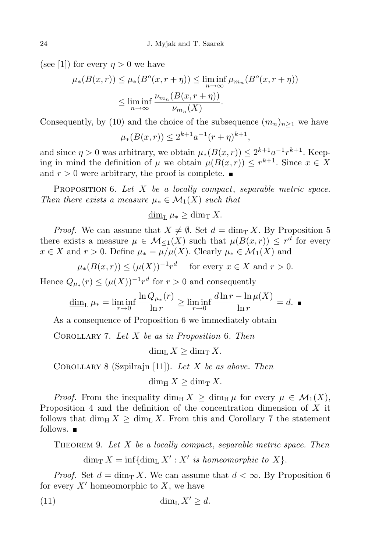(see [1]) for every  $\eta > 0$  we have

$$
\mu_*(B(x,r)) \le \mu_*(B^o(x,r+\eta)) \le \liminf_{n \to \infty} \mu_{m_n}(B^o(x,r+\eta))
$$
  

$$
\le \liminf_{n \to \infty} \frac{\nu_{m_n}(B(x,r+\eta))}{\nu_{m_n}(X)}.
$$

Consequently, by (10) and the choice of the subsequence  $(m_n)_{n\geq 1}$  we have

$$
\mu_*(B(x,r)) \le 2^{k+1}a^{-1}(r+\eta)^{k+1},
$$

and since  $\eta > 0$  was arbitrary, we obtain  $\mu_*(B(x,r)) \leq 2^{k+1}a^{-1}r^{k+1}$ . Keeping in mind the definition of  $\mu$  we obtain  $\mu(B(x,r)) \leq r^{k+1}$ . Since  $x \in X$ and  $r > 0$  were arbitrary, the proof is complete.

Proposition 6. *Let X be a locally compact*, *separable metric space. Then there exists a measure*  $\mu_* \in \mathcal{M}_1(X)$  *such that* 

dim<sub>L</sub>  $\mu_* \geq \dim_T X$ .

*Proof.* We can assume that  $X \neq \emptyset$ . Set  $d = \dim_T X$ . By Proposition 5 there exists a measure  $\mu \in M_{\leq 1}(X)$  such that  $\mu(B(x,r)) \leq r^d$  for every *x* ∈ *X* and *r* > 0. Define  $\mu_* = \mu/\mu(X)$ . Clearly  $\mu_* \in \mathcal{M}_1(X)$  and

$$
\mu_*(B(x,r)) \le (\mu(X))^{-1}r^d \quad \text{ for every } x \in X \text{ and } r > 0.
$$

Hence  $Q_{\mu*}(r) \leq (\mu(X))^{-1}r^d$  for  $r > 0$  and consequently

$$
\underline{\dim}_{\mathrm{L}} \,\mu_* = \liminf_{r \to 0} \frac{\ln Q_{\mu_*}(r)}{\ln r} \ge \liminf_{r \to 0} \frac{d \ln r - \ln \mu(X)}{\ln r} = d.
$$

As a consequence of Proposition 6 we immediately obtain

Corollary 7. *Let X be as in Proposition* 6*. Then*

 $\dim_{\mathbb{L}} X > \dim_{\mathbb{L}} X$ .

Corollary 8 (Szpilrajn [11]). *Let X be as above. Then*

 $\dim_{\rm H} X \geq \dim_{\rm T} X$ .

*Proof.* From the inequality dim<sub>H</sub>  $X \ge \dim_H \mu$  for every  $\mu \in \mathcal{M}_1(X)$ , Proposition 4 and the definition of the concentration dimension of *X* it follows that dim<sub>H</sub>  $X \geq \dim_{\text{L}} X$ . From this and Corollary 7 the statement follows.  $\blacksquare$ 

Theorem 9. *Let X be a locally compact*, *separable metric space. Then*

 $\dim_{\mathrm{T}} X = \inf \{ \dim_{\mathrm{L}} X' : X' \text{ is homeomorphic to } X \}.$ 

*Proof.* Set  $d = \dim_{\mathbb{T}} X$ . We can assume that  $d < \infty$ . By Proposition 6 for every  $X'$  homeomorphic to  $X$ , we have

$$
\dim_{\mathcal{L}} X' \ge d.
$$